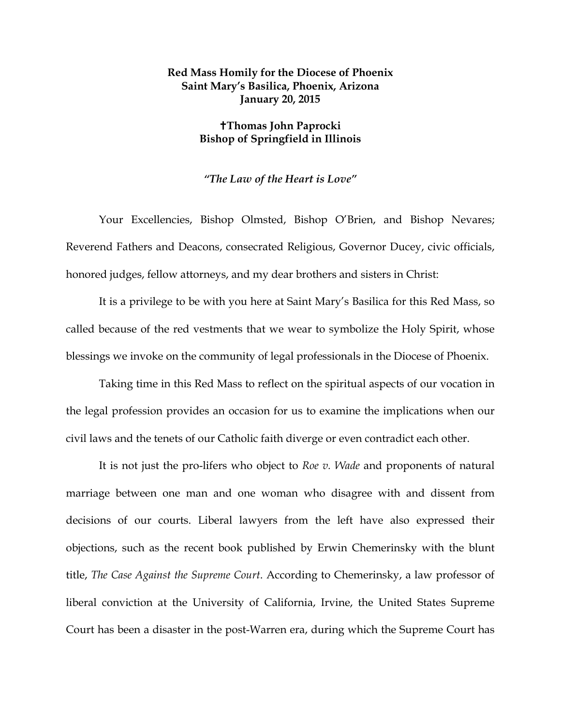## **Red Mass Homily for the Diocese of Phoenix Saint Mary's Basilica, Phoenix, Arizona January 20, 2015**

## **Thomas John Paprocki Bishop of Springfield in Illinois**

## *"The Law of the Heart is Love"*

Your Excellencies, Bishop Olmsted, Bishop O'Brien, and Bishop Nevares; Reverend Fathers and Deacons, consecrated Religious, Governor Ducey, civic officials, honored judges, fellow attorneys, and my dear brothers and sisters in Christ:

It is a privilege to be with you here at Saint Mary's Basilica for this Red Mass, so called because of the red vestments that we wear to symbolize the Holy Spirit, whose blessings we invoke on the community of legal professionals in the Diocese of Phoenix.

Taking time in this Red Mass to reflect on the spiritual aspects of our vocation in the legal profession provides an occasion for us to examine the implications when our civil laws and the tenets of our Catholic faith diverge or even contradict each other.

It is not just the pro-lifers who object to *Roe v. Wade* and proponents of natural marriage between one man and one woman who disagree with and dissent from decisions of our courts. Liberal lawyers from the left have also expressed their objections, such as the recent book published by Erwin Chemerinsky with the blunt title, *The Case Against the Supreme Court*. According to Chemerinsky, a law professor of liberal conviction at the University of California, Irvine, the United States Supreme Court has been a disaster in the post-Warren era, during which the Supreme Court has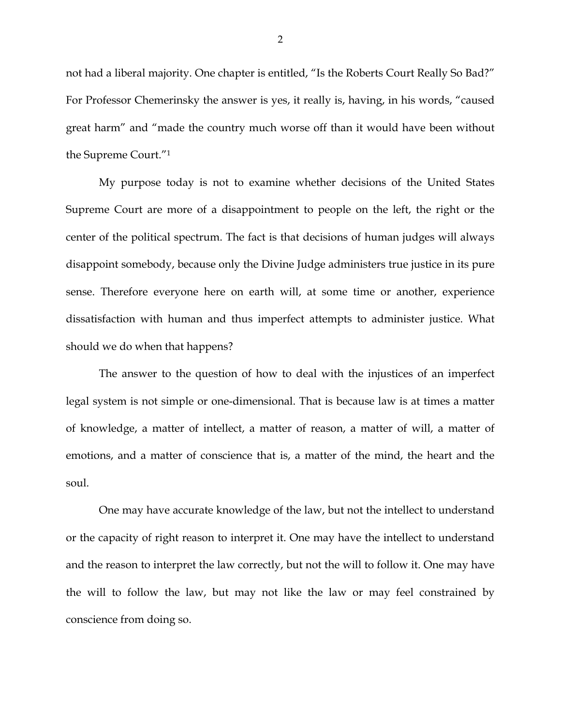not had a liberal majority. One chapter is entitled, "Is the Roberts Court Really So Bad?" For Professor Chemerinsky the answer is yes, it really is, having, in his words, "caused great harm" and "made the country much worse off than it would have been without the Supreme Court."1

My purpose today is not to examine whether decisions of the United States Supreme Court are more of a disappointment to people on the left, the right or the center of the political spectrum. The fact is that decisions of human judges will always disappoint somebody, because only the Divine Judge administers true justice in its pure sense. Therefore everyone here on earth will, at some time or another, experience dissatisfaction with human and thus imperfect attempts to administer justice. What should we do when that happens?

The answer to the question of how to deal with the injustices of an imperfect legal system is not simple or one-dimensional. That is because law is at times a matter of knowledge, a matter of intellect, a matter of reason, a matter of will, a matter of emotions, and a matter of conscience that is, a matter of the mind, the heart and the soul.

One may have accurate knowledge of the law, but not the intellect to understand or the capacity of right reason to interpret it. One may have the intellect to understand and the reason to interpret the law correctly, but not the will to follow it. One may have the will to follow the law, but may not like the law or may feel constrained by conscience from doing so.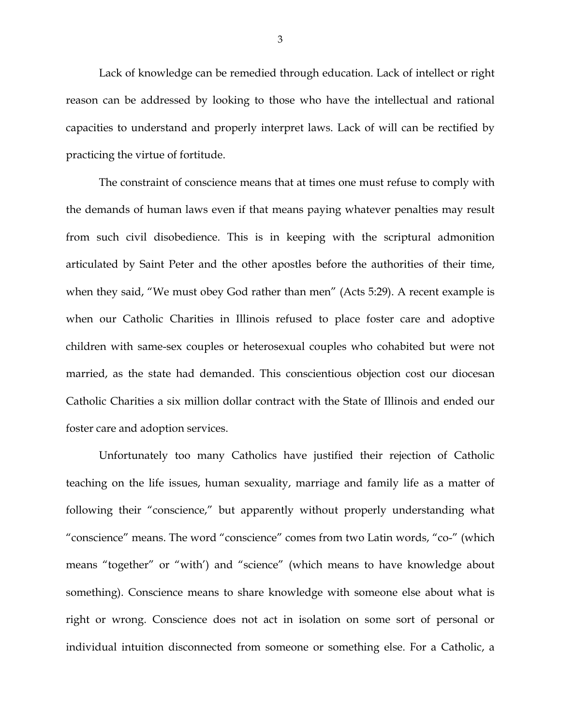Lack of knowledge can be remedied through education. Lack of intellect or right reason can be addressed by looking to those who have the intellectual and rational capacities to understand and properly interpret laws. Lack of will can be rectified by practicing the virtue of fortitude.

The constraint of conscience means that at times one must refuse to comply with the demands of human laws even if that means paying whatever penalties may result from such civil disobedience. This is in keeping with the scriptural admonition articulated by Saint Peter and the other apostles before the authorities of their time, when they said, "We must obey God rather than men" (Acts 5:29). A recent example is when our Catholic Charities in Illinois refused to place foster care and adoptive children with same-sex couples or heterosexual couples who cohabited but were not married, as the state had demanded. This conscientious objection cost our diocesan Catholic Charities a six million dollar contract with the State of Illinois and ended our foster care and adoption services.

Unfortunately too many Catholics have justified their rejection of Catholic teaching on the life issues, human sexuality, marriage and family life as a matter of following their "conscience," but apparently without properly understanding what "conscience" means. The word "conscience" comes from two Latin words, "co-" (which means "together" or "with') and "science" (which means to have knowledge about something). Conscience means to share knowledge with someone else about what is right or wrong. Conscience does not act in isolation on some sort of personal or individual intuition disconnected from someone or something else. For a Catholic, a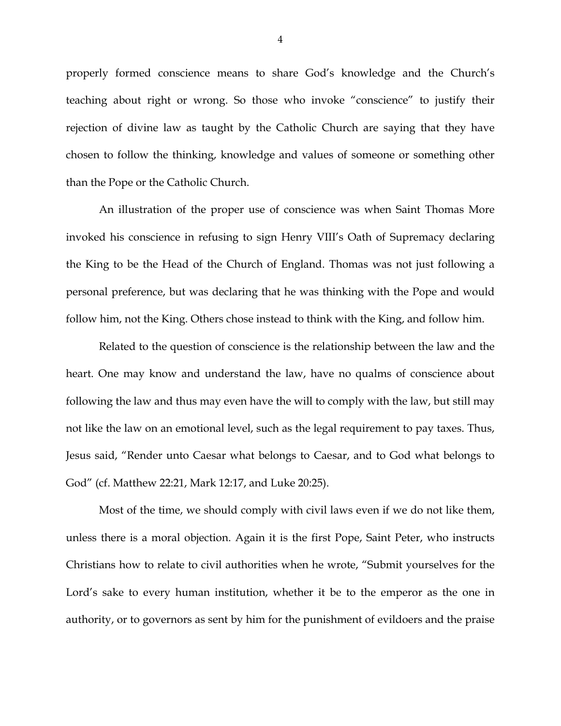properly formed conscience means to share God's knowledge and the Church's teaching about right or wrong. So those who invoke "conscience" to justify their rejection of divine law as taught by the Catholic Church are saying that they have chosen to follow the thinking, knowledge and values of someone or something other than the Pope or the Catholic Church.

An illustration of the proper use of conscience was when Saint Thomas More invoked his conscience in refusing to sign Henry VIII's Oath of Supremacy declaring the King to be the Head of the Church of England. Thomas was not just following a personal preference, but was declaring that he was thinking with the Pope and would follow him, not the King. Others chose instead to think with the King, and follow him.

Related to the question of conscience is the relationship between the law and the heart. One may know and understand the law, have no qualms of conscience about following the law and thus may even have the will to comply with the law, but still may not like the law on an emotional level, such as the legal requirement to pay taxes. Thus, Jesus said, "Render unto Caesar what belongs to Caesar, and to God what belongs to God" (cf. Matthew 22:21, Mark 12:17, and Luke 20:25).

Most of the time, we should comply with civil laws even if we do not like them, unless there is a moral objection. Again it is the first Pope, Saint Peter, who instructs Christians how to relate to civil authorities when he wrote, "Submit yourselves for the Lord's sake to every human institution, whether it be to the emperor as the one in authority, or to governors as sent by him for the punishment of evildoers and the praise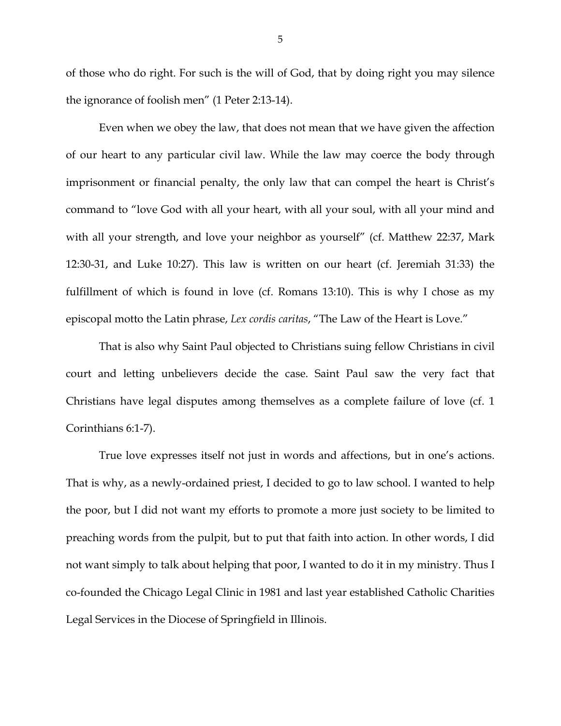of those who do right. For such is the will of God, that by doing right you may silence the ignorance of foolish men" (1 Peter 2:13-14).

Even when we obey the law, that does not mean that we have given the affection of our heart to any particular civil law. While the law may coerce the body through imprisonment or financial penalty, the only law that can compel the heart is Christ's command to "love God with all your heart, with all your soul, with all your mind and with all your strength, and love your neighbor as yourself" (cf. Matthew 22:37, Mark 12:30-31, and Luke 10:27). This law is written on our heart (cf. Jeremiah 31:33) the fulfillment of which is found in love (cf. Romans 13:10). This is why I chose as my episcopal motto the Latin phrase, *Lex cordis caritas*, "The Law of the Heart is Love."

That is also why Saint Paul objected to Christians suing fellow Christians in civil court and letting unbelievers decide the case. Saint Paul saw the very fact that Christians have legal disputes among themselves as a complete failure of love (cf. 1 Corinthians 6:1-7).

True love expresses itself not just in words and affections, but in one's actions. That is why, as a newly-ordained priest, I decided to go to law school. I wanted to help the poor, but I did not want my efforts to promote a more just society to be limited to preaching words from the pulpit, but to put that faith into action. In other words, I did not want simply to talk about helping that poor, I wanted to do it in my ministry. Thus I co-founded the Chicago Legal Clinic in 1981 and last year established Catholic Charities Legal Services in the Diocese of Springfield in Illinois.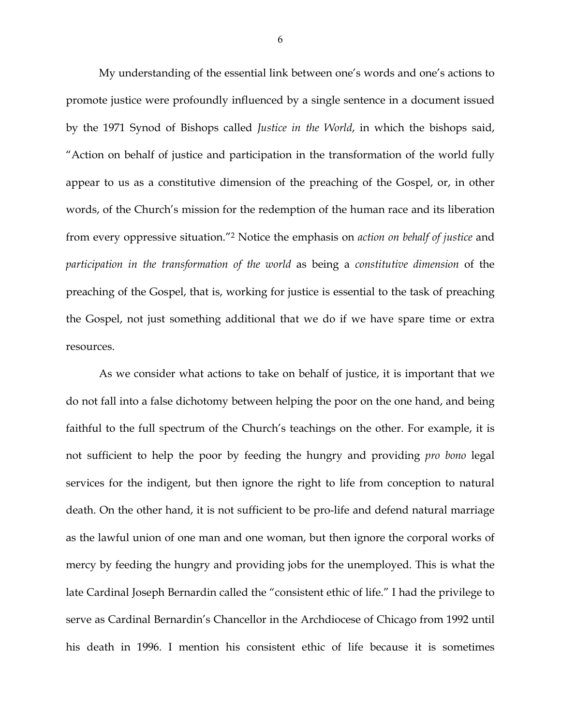My understanding of the essential link between one's words and one's actions to promote justice were profoundly influenced by a single sentence in a document issued by the 1971 Synod of Bishops called *Justice in the World*, in which the bishops said, "Action on behalf of justice and participation in the transformation of the world fully appear to us as a constitutive dimension of the preaching of the Gospel, or, in other words, of the Church's mission for the redemption of the human race and its liberation from every oppressive situation."2 Notice the emphasis on *action on behalf of justice* and *participation in the transformation of the world* as being a *constitutive dimension* of the preaching of the Gospel, that is, working for justice is essential to the task of preaching the Gospel, not just something additional that we do if we have spare time or extra resources.

As we consider what actions to take on behalf of justice, it is important that we do not fall into a false dichotomy between helping the poor on the one hand, and being faithful to the full spectrum of the Church's teachings on the other. For example, it is not sufficient to help the poor by feeding the hungry and providing *pro bono* legal services for the indigent, but then ignore the right to life from conception to natural death. On the other hand, it is not sufficient to be pro-life and defend natural marriage as the lawful union of one man and one woman, but then ignore the corporal works of mercy by feeding the hungry and providing jobs for the unemployed. This is what the late Cardinal Joseph Bernardin called the "consistent ethic of life." I had the privilege to serve as Cardinal Bernardin's Chancellor in the Archdiocese of Chicago from 1992 until his death in 1996. I mention his consistent ethic of life because it is sometimes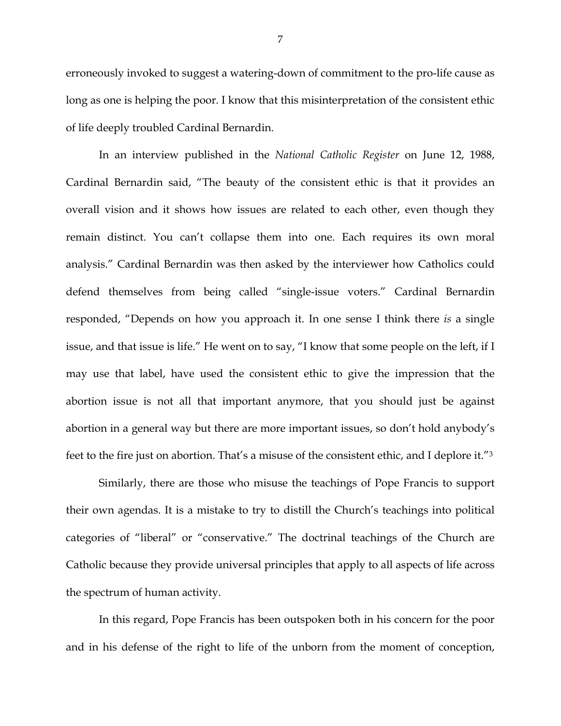erroneously invoked to suggest a watering-down of commitment to the pro-life cause as long as one is helping the poor. I know that this misinterpretation of the consistent ethic of life deeply troubled Cardinal Bernardin.

In an interview published in the *National Catholic Register* on June 12, 1988, Cardinal Bernardin said, "The beauty of the consistent ethic is that it provides an overall vision and it shows how issues are related to each other, even though they remain distinct. You can't collapse them into one. Each requires its own moral analysis." Cardinal Bernardin was then asked by the interviewer how Catholics could defend themselves from being called "single-issue voters." Cardinal Bernardin responded, "Depends on how you approach it. In one sense I think there *is* a single issue, and that issue is life." He went on to say, "I know that some people on the left, if I may use that label, have used the consistent ethic to give the impression that the abortion issue is not all that important anymore, that you should just be against abortion in a general way but there are more important issues, so don't hold anybody's feet to the fire just on abortion. That's a misuse of the consistent ethic, and I deplore it."3

Similarly, there are those who misuse the teachings of Pope Francis to support their own agendas. It is a mistake to try to distill the Church's teachings into political categories of "liberal" or "conservative." The doctrinal teachings of the Church are Catholic because they provide universal principles that apply to all aspects of life across the spectrum of human activity.

In this regard, Pope Francis has been outspoken both in his concern for the poor and in his defense of the right to life of the unborn from the moment of conception,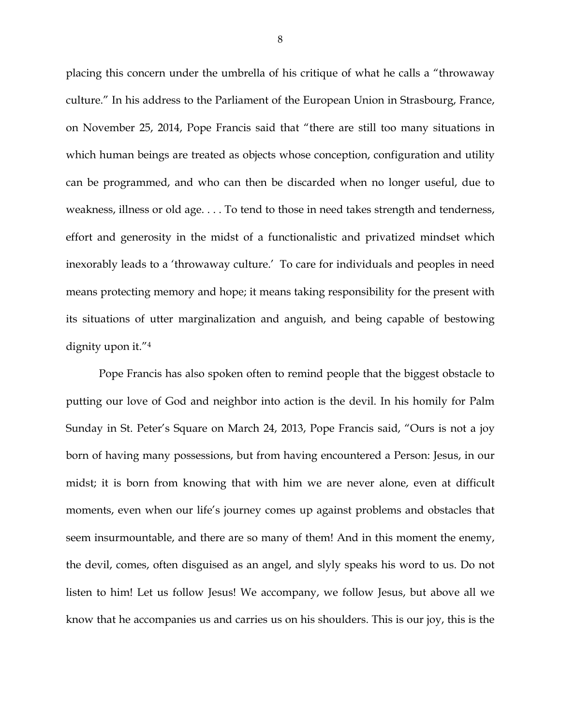placing this concern under the umbrella of his critique of what he calls a "throwaway culture." In his address to the Parliament of the European Union in Strasbourg, France, on November 25, 2014, Pope Francis said that "there are still too many situations in which human beings are treated as objects whose conception, configuration and utility can be programmed, and who can then be discarded when no longer useful, due to weakness, illness or old age. . . . To tend to those in need takes strength and tenderness, effort and generosity in the midst of a functionalistic and privatized mindset which inexorably leads to a 'throwaway culture.' To care for individuals and peoples in need means protecting memory and hope; it means taking responsibility for the present with its situations of utter marginalization and anguish, and being capable of bestowing dignity upon it."4

Pope Francis has also spoken often to remind people that the biggest obstacle to putting our love of God and neighbor into action is the devil. In his homily for Palm Sunday in St. Peter's Square on March 24, 2013, Pope Francis said, "Ours is not a joy born of having many possessions, but from having encountered a Person: Jesus, in our midst; it is born from knowing that with him we are never alone, even at difficult moments, even when our life's journey comes up against problems and obstacles that seem insurmountable, and there are so many of them! And in this moment the enemy, the devil, comes, often disguised as an angel, and slyly speaks his word to us. Do not listen to him! Let us follow Jesus! We accompany, we follow Jesus, but above all we know that he accompanies us and carries us on his shoulders. This is our joy, this is the